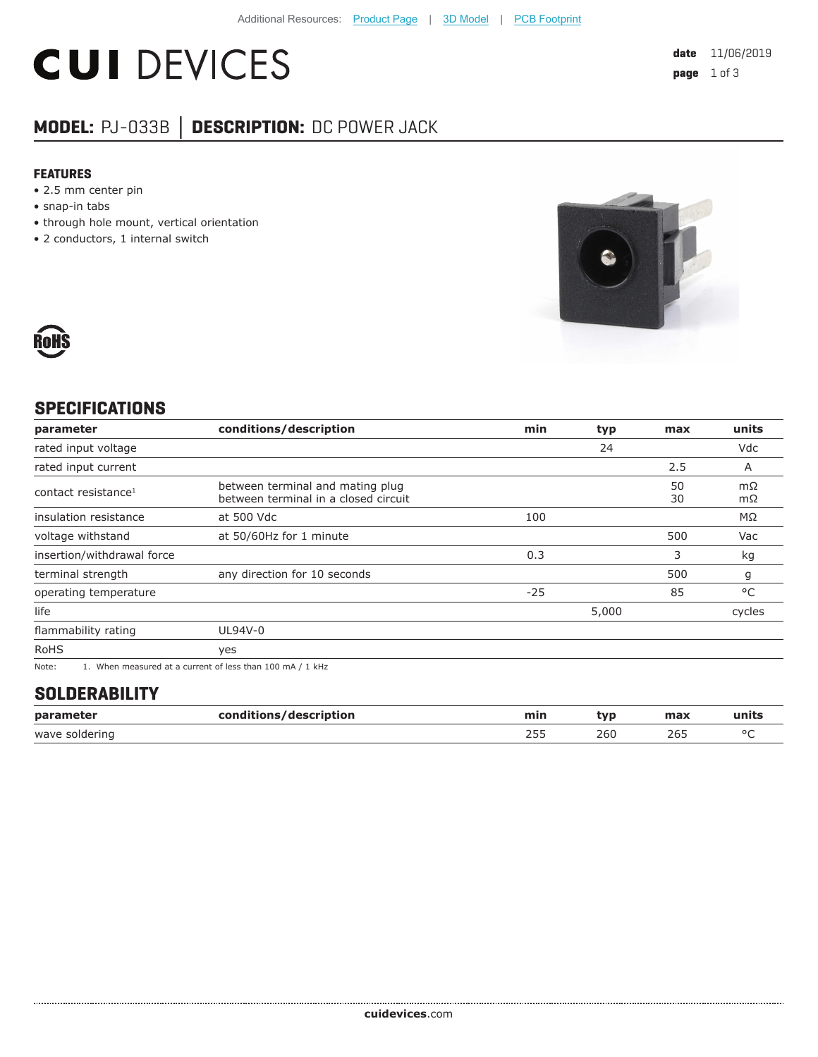# **CUI DEVICES**

## **MODEL:** PJ-033B **│ DESCRIPTION:** DC POWER JACK

#### **FEATURES**

- 2.5 mm center pin
- snap-in tabs
- through hole mount, vertical orientation
- 2 conductors, 1 internal switch





#### **SPECIFICATIONS**

| parameter                       | conditions/description                                                                                                      | min   | typ   | max      | units     |
|---------------------------------|-----------------------------------------------------------------------------------------------------------------------------|-------|-------|----------|-----------|
| rated input voltage             |                                                                                                                             |       | 24    |          | Vdc       |
| rated input current             |                                                                                                                             |       |       | 2.5      | A         |
| contact resistance <sup>1</sup> | between terminal and mating plug<br>between terminal in a closed circuit                                                    |       |       | 50<br>30 | mΩ<br>mΩ  |
| insulation resistance           | at 500 Vdc                                                                                                                  | 100   |       |          | $M\Omega$ |
| voltage withstand               | at 50/60Hz for 1 minute                                                                                                     |       |       | 500      | Vac       |
| insertion/withdrawal force      |                                                                                                                             | 0.3   |       | 3        | kg        |
| terminal strength               | any direction for 10 seconds                                                                                                |       |       | 500      | g         |
| operating temperature           |                                                                                                                             | $-25$ |       | 85       | °C        |
| life                            |                                                                                                                             |       | 5,000 |          | cycles    |
| flammability rating             | UL94V-0                                                                                                                     |       |       |          |           |
| <b>RoHS</b>                     | yes                                                                                                                         |       |       |          |           |
| $N = 1$                         | $\overline{A}$ . Mission as a second of the compact of loss than $\overline{A}$ 00 as $\overline{A}$ / $\overline{A}$ lifts |       |       |          |           |

Note: 1. When measured at a current of less than 100 mA / 1 kHz

#### **SOLDERABILITY**

| parameter      | conditions/description | min                 | :vr         | max  | units   |
|----------------|------------------------|---------------------|-------------|------|---------|
| wave soldering |                        | ---<br>ر رے<br>$ -$ | 260<br>$ -$ | $ -$ | $\circ$ |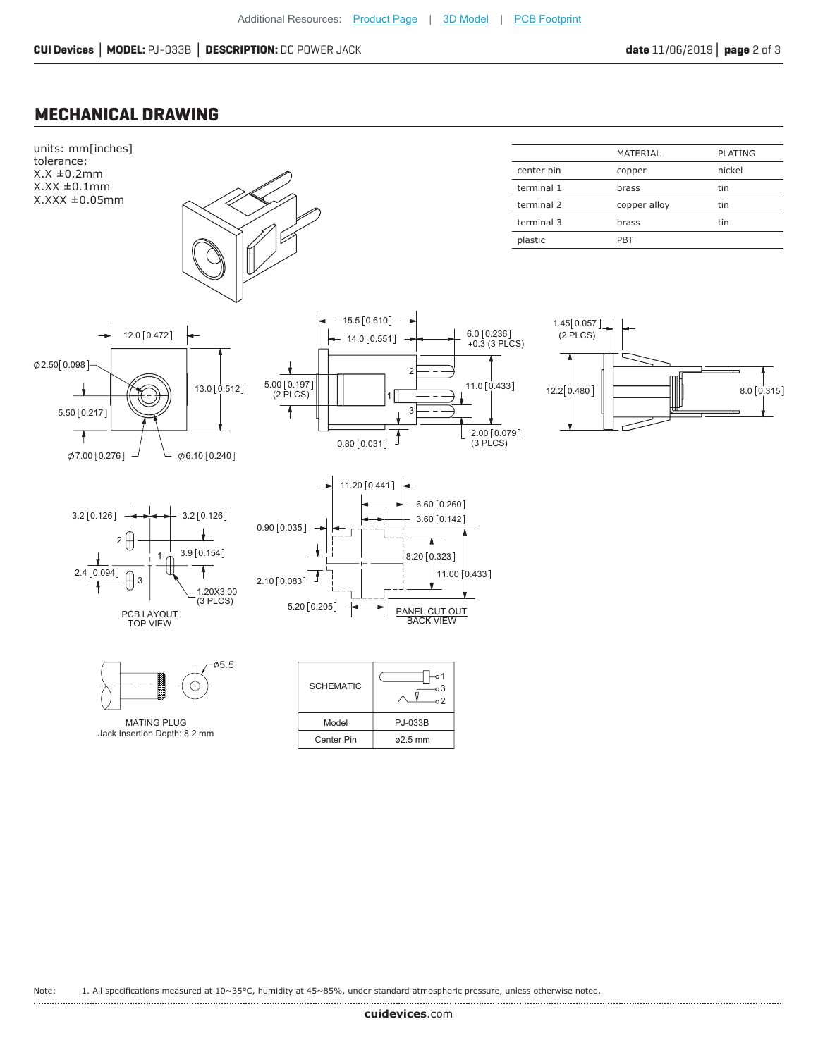#### **MECHANICAL DRAWING**



Note: 1. All specifications measured at 10~35°C, humidity at 45~85%, under standard atmospheric pressure, unless otherwise noted.